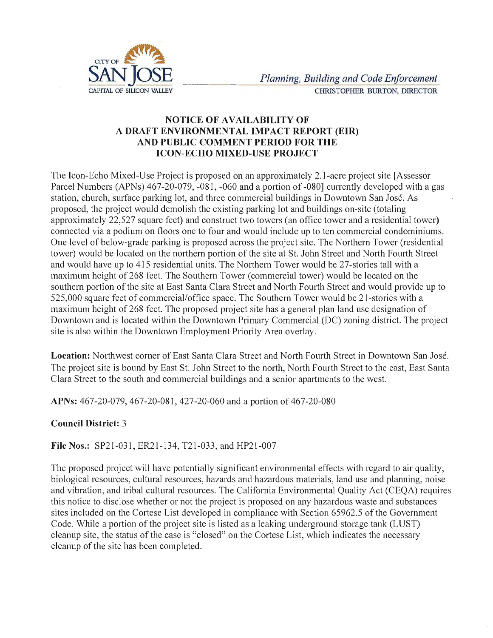

## **NOTICE OF AVAILABILITY OF A DRAFT ENVIRONMENT AL IMPACT REPORT (EIR) AND PUBLIC COMMENT PERIOD FOR THE ICON-ECHO MIXED-USE PROJECT**

The Icon-Echo Mixed-Use Project is proposed on an approximately 2.1-acre project site [Assessor Parcel Numbers (APNs) 467-20-079, -081, -060 and a portion of -080] currently developed with a gas station, church, surface parking lot, and three commercial buildings in Downtown San Jose. As proposed, the project would demolish the existing parking lot and buildings on-site (totaling approximately 22,527 square feet) and construct two towers (an office tower and a residential tower) connected via a podium on floors one to four and would include up to ten commercial condominiums. One level of below-grade parking is proposed across the project site. The Northern Tower (residential tower) would be located on the northern portion of the site at St. John Street and North Fourth Street and would have up to 415 residential units. The Northern Tower would be 27-stories tall with a maximum height of 268 feet. The Southern Tower (commercial tower) would be located on the southern portion of the site at East Santa Clara Street and North Fourth Street and would provide up to 525,000 square feet of commercial/office space. The Southern Tower would be 21-stories with a maximum height of 268 feet. The proposed project site has a general plan land use designation of Downtown and is located within the Downtown Primary Commercial (DC) zoning district. The project site is also within the Downtown Employment Priority Area overlay.

**Location:** Northwest corner of East Santa Clara Street and North Fourth Street in Downtown San José. The project site is bound by East St. John Street to the north, North Fourth Street to the east, East Santa Clara Street to the south and commercial buildings and a senior apartments to the west.

**APNs:** 467-20-079, 467-20-081, 427-20-060 and a portion of 467-20-080

## **Council District:** 3

**File Nos.:** SP21-031, ER21-134, T21-033, and HP21-007

The proposed project will have potentially significant environmental effects with regard to air quality, biological resources, cultural resources, hazards and hazardous materials, land use and planning, noise and vibration, and tribal cultural resources. The California Environmental Quality Act (CEQA) requires this notice to disclose whether or not the project is proposed on any hazardous waste and substances sites included on the Cortese List developed in compliance with Section 65962.5 of the Government Code. While a portion of the project site is listed as a leaking underground storage tank (LUST) cleanup site, the status of the case is "closed" on the Cortese List, which indicates the necessary cleanup of the site has been completed.